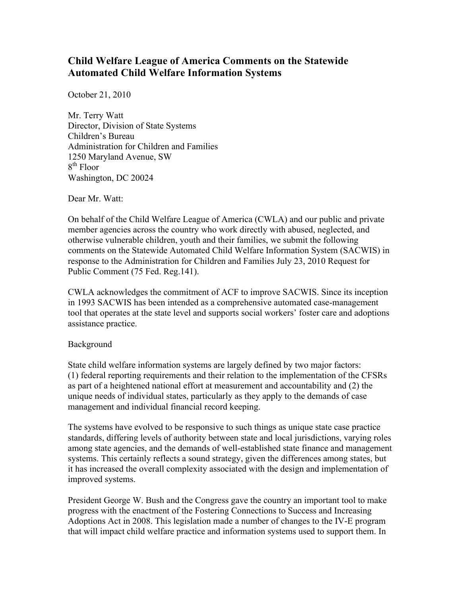## **Child Welfare League of America Comments on the Statewide Automated Child Welfare Information Systems**

October 21, 2010

Mr. Terry Watt Director, Division of State Systems Children's Bureau Administration for Children and Families 1250 Maryland Avenue, SW 8<sup>th</sup> Floor Washington, DC 20024

Dear Mr. Watt:

On behalf of the Child Welfare League of America (CWLA) and our public and private member agencies across the country who work directly with abused, neglected, and otherwise vulnerable children, youth and their families, we submit the following comments on the Statewide Automated Child Welfare Information System (SACWIS) in response to the Administration for Children and Families July 23, 2010 Request for Public Comment (75 Fed. Reg.141).

CWLA acknowledges the commitment of ACF to improve SACWIS. Since its inception in 1993 SACWIS has been intended as a comprehensive automated case-management tool that operates at the state level and supports social workers' foster care and adoptions assistance practice.

## Background

State child welfare information systems are largely defined by two major factors: (1) federal reporting requirements and their relation to the implementation of the CFSRs as part of a heightened national effort at measurement and accountability and (2) the unique needs of individual states, particularly as they apply to the demands of case management and individual financial record keeping.

The systems have evolved to be responsive to such things as unique state case practice standards, differing levels of authority between state and local jurisdictions, varying roles among state agencies, and the demands of well-established state finance and management systems. This certainly reflects a sound strategy, given the differences among states, but it has increased the overall complexity associated with the design and implementation of improved systems.

President George W. Bush and the Congress gave the country an important tool to make progress with the enactment of the Fostering Connections to Success and Increasing Adoptions Act in 2008. This legislation made a number of changes to the IV-E program that will impact child welfare practice and information systems used to support them. In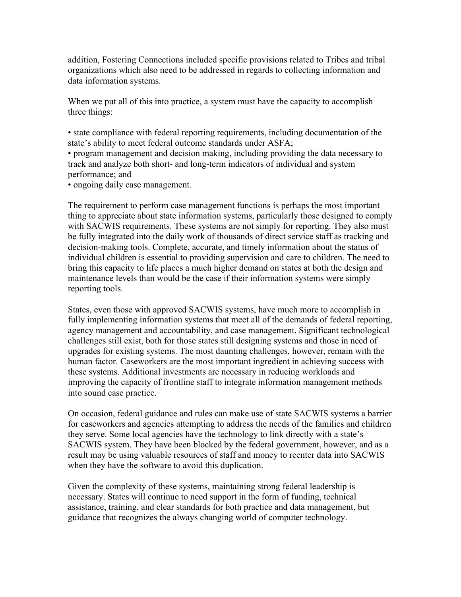addition, Fostering Connections included specific provisions related to Tribes and tribal organizations which also need to be addressed in regards to collecting information and data information systems.

When we put all of this into practice, a system must have the capacity to accomplish three things:

• state compliance with federal reporting requirements, including documentation of the state's ability to meet federal outcome standards under ASFA;

• program management and decision making, including providing the data necessary to track and analyze both short- and long-term indicators of individual and system performance; and

• ongoing daily case management.

The requirement to perform case management functions is perhaps the most important thing to appreciate about state information systems, particularly those designed to comply with SACWIS requirements. These systems are not simply for reporting. They also must be fully integrated into the daily work of thousands of direct service staff as tracking and decision-making tools. Complete, accurate, and timely information about the status of individual children is essential to providing supervision and care to children. The need to bring this capacity to life places a much higher demand on states at both the design and maintenance levels than would be the case if their information systems were simply reporting tools.

States, even those with approved SACWIS systems, have much more to accomplish in fully implementing information systems that meet all of the demands of federal reporting, agency management and accountability, and case management. Significant technological challenges still exist, both for those states still designing systems and those in need of upgrades for existing systems. The most daunting challenges, however, remain with the human factor. Caseworkers are the most important ingredient in achieving success with these systems. Additional investments are necessary in reducing workloads and improving the capacity of frontline staff to integrate information management methods into sound case practice.

On occasion, federal guidance and rules can make use of state SACWIS systems a barrier for caseworkers and agencies attempting to address the needs of the families and children they serve. Some local agencies have the technology to link directly with a state's SACWIS system. They have been blocked by the federal government, however, and as a result may be using valuable resources of staff and money to reenter data into SACWIS when they have the software to avoid this duplication.

Given the complexity of these systems, maintaining strong federal leadership is necessary. States will continue to need support in the form of funding, technical assistance, training, and clear standards for both practice and data management, but guidance that recognizes the always changing world of computer technology.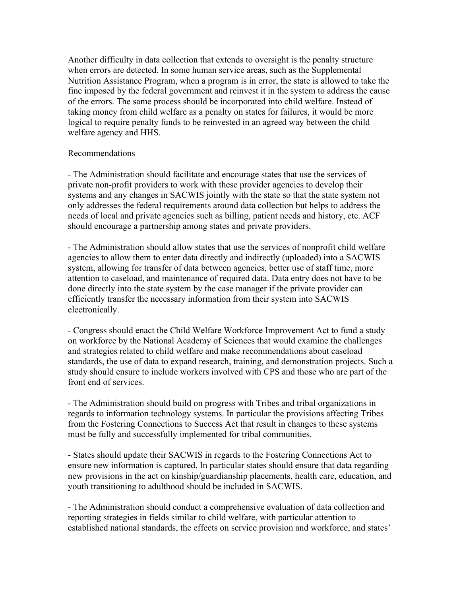Another difficulty in data collection that extends to oversight is the penalty structure when errors are detected. In some human service areas, such as the Supplemental Nutrition Assistance Program, when a program is in error, the state is allowed to take the fine imposed by the federal government and reinvest it in the system to address the cause of the errors. The same process should be incorporated into child welfare. Instead of taking money from child welfare as a penalty on states for failures, it would be more logical to require penalty funds to be reinvested in an agreed way between the child welfare agency and HHS.

## Recommendations

- The Administration should facilitate and encourage states that use the services of private non-profit providers to work with these provider agencies to develop their systems and any changes in SACWIS jointly with the state so that the state system not only addresses the federal requirements around data collection but helps to address the needs of local and private agencies such as billing, patient needs and history, etc. ACF should encourage a partnership among states and private providers.

- The Administration should allow states that use the services of nonprofit child welfare agencies to allow them to enter data directly and indirectly (uploaded) into a SACWIS system, allowing for transfer of data between agencies, better use of staff time, more attention to caseload, and maintenance of required data. Data entry does not have to be done directly into the state system by the case manager if the private provider can efficiently transfer the necessary information from their system into SACWIS electronically.

- Congress should enact the Child Welfare Workforce Improvement Act to fund a study on workforce by the National Academy of Sciences that would examine the challenges and strategies related to child welfare and make recommendations about caseload standards, the use of data to expand research, training, and demonstration projects. Such a study should ensure to include workers involved with CPS and those who are part of the front end of services.

- The Administration should build on progress with Tribes and tribal organizations in regards to information technology systems. In particular the provisions affecting Tribes from the Fostering Connections to Success Act that result in changes to these systems must be fully and successfully implemented for tribal communities.

- States should update their SACWIS in regards to the Fostering Connections Act to ensure new information is captured. In particular states should ensure that data regarding new provisions in the act on kinship/guardianship placements, health care, education, and youth transitioning to adulthood should be included in SACWIS.

- The Administration should conduct a comprehensive evaluation of data collection and reporting strategies in fields similar to child welfare, with particular attention to established national standards, the effects on service provision and workforce, and states'